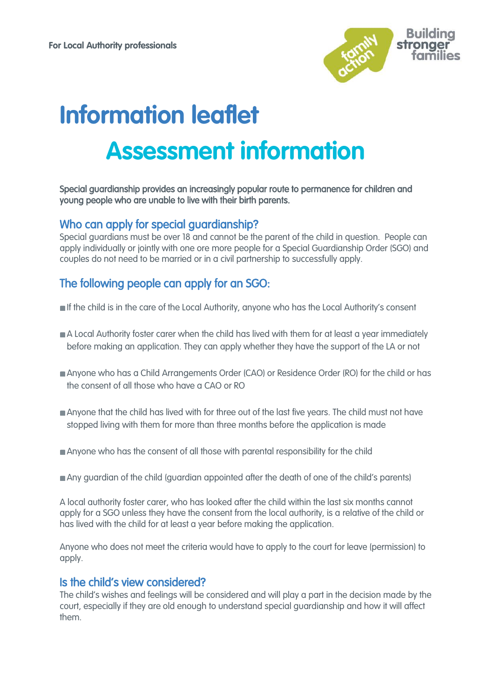

# **Information leaflet Assessment information**

#### Special guardianship provides an increasingly popular route to permanence for children and young people who are unable to live with their birth parents.

### Who can apply for special guardianship?

Special guardians must be over 18 and cannot be the parent of the child in question. People can apply individually or jointly with one ore more people for a Special Guardianship Order (SGO) and couples do not need to be married or in a civil partnership to successfully apply.

## The following people can apply for an SGO:

- If the child is in the care of the Local Authority, anyone who has the Local Authority's consent
- A Local Authority foster carer when the child has lived with them for at least a year immediately before making an application. They can apply whether they have the support of the LA or not
- Anyone who has a Child Arrangements Order (CAO) or Residence Order (RO) for the child or has the consent of all those who have a CAO or RO
- Anyone that the child has lived with for three out of the last five years. The child must not have stopped living with them for more than three months before the application is made
- Anyone who has the consent of all those with parental responsibility for the child
- Any guardian of the child (guardian appointed after the death of one of the child's parents)

A local authority foster carer, who has looked after the child within the last six months cannot apply for a SGO unless they have the consent from the local authority, is a relative of the child or has lived with the child for at least a year before making the application.

Anyone who does not meet the criteria would have to apply to the court for leave (permission) to apply.

#### Is the child's view considered?

The child's wishes and feelings will be considered and will play a part in the decision made by the court, especially if they are old enough to understand special guardianship and how it will affect them.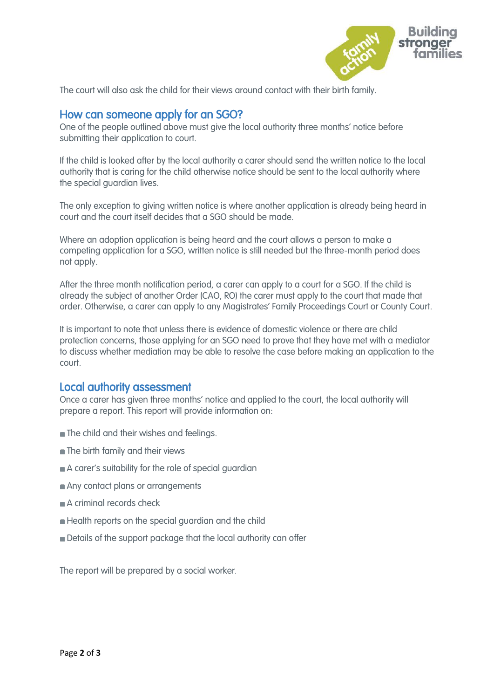

The court will also ask the child for their views around contact with their birth family.

#### How can someone apply for an SGO?

One of the people outlined above must give the local authority three months' notice before submitting their application to court.

If the child is looked after by the local authority a carer should send the written notice to the local authority that is caring for the child otherwise notice should be sent to the local authority where the special guardian lives.

The only exception to giving written notice is where another application is already being heard in court and the court itself decides that a SGO should be made.

Where an adoption application is being heard and the court allows a person to make a competing application for a SGO, written notice is still needed but the three-month period does not apply.

After the three month notification period, a carer can apply to a court for a SGO. If the child is already the subject of another Order (CAO, RO) the carer must apply to the court that made that order. Otherwise, a carer can apply to any Magistrates' Family Proceedings Court or County Court.

It is important to note that unless there is evidence of domestic violence or there are child protection concerns, those applying for an SGO need to prove that they have met with a mediator to discuss whether mediation may be able to resolve the case before making an application to the court.

#### Local authority assessment

Once a carer has given three months' notice and applied to the court, the local authority will prepare a report. This report will provide information on:

- **n** The child and their wishes and feelings.
- **n** The birth family and their views
- A carer's suitability for the role of special guardian
- Any contact plans or arrangements
- A criminal records check
- **Health reports on the special guardian and the child**
- Details of the support package that the local authority can offer

The report will be prepared by a social worker.